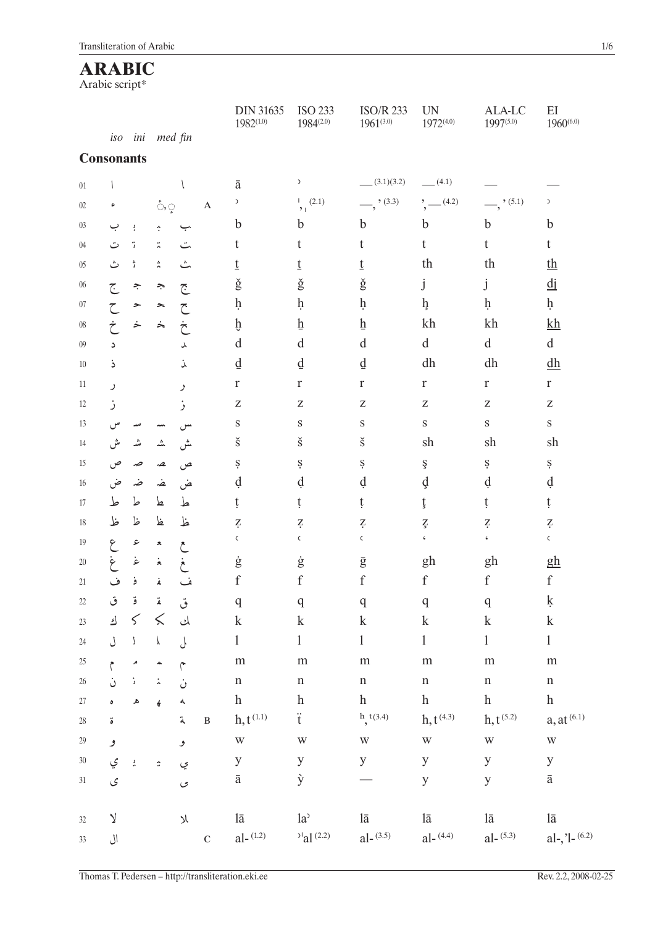# **ARABIC**

Arabic script\*

|        |                   |                |                                                              |                          |                           | <b>DIN 31635</b><br>$1982^{(1.0)}$ | <b>ISO 233</b><br>$1984^{(2.0)}$ | <b>ISO/R 233</b><br>$1961^{(3.0)}$ | <b>UN</b><br>$1972^{(4.0)}$                                                                            | ALA-LC<br>$1997^{(5.0)}$ | EI<br>$1960^{(6.0)}$      |
|--------|-------------------|----------------|--------------------------------------------------------------|--------------------------|---------------------------|------------------------------------|----------------------------------|------------------------------------|--------------------------------------------------------------------------------------------------------|--------------------------|---------------------------|
|        | iso               | ini            | med fin                                                      |                          |                           |                                    |                                  |                                    |                                                                                                        |                          |                           |
|        | <b>Consonants</b> |                |                                                              |                          |                           |                                    |                                  |                                    |                                                                                                        |                          |                           |
| $01\,$ |                   |                |                                                              |                          |                           | $\bar{\text{a}}$                   | $\,$                             | (3.1)(3.2)                         | (4.1)                                                                                                  |                          |                           |
| 02     | ۶                 |                | $\mathring{\circlearrowright}, \mathring{\circlearrowright}$ |                          | $\boldsymbol{\mathsf{A}}$ | $\mathfrak z$                      | 1 (2.1)<br>2 <sub>1</sub>        | $\frac{1}{2}$ , (3.3)              | (4.2)                                                                                                  | $\frac{1}{2}$ , (5.1)    | $\mathcal{L}$             |
| 03     | ب                 | :              | ÷                                                            | ب                        |                           | $\mathbf b$                        | $\mathbf b$                      | $\mathbf b$                        | $\mathbf b$                                                                                            | $\mathbf b$              | $\mathbf b$               |
| 04     | ت                 | ٠,             | Ä,                                                           | ت                        |                           | t                                  | t                                | t                                  | t                                                                                                      | t                        | t                         |
| $05\,$ | ث                 | ĵ              | 츳                                                            | ٹ                        |                           | t                                  | t                                | t                                  | th                                                                                                     | th                       | th                        |
| 06     | ج                 | ÷              | چ                                                            | جح                       |                           | $\check{\mathrm{g}}$               | $\check{\mathrm{g}}$             | $\check{\mathrm{g}}$               | j                                                                                                      | j                        | $\overline{d}$ j          |
| 07     |                   | ≻              | ∼                                                            |                          |                           | ķ                                  | $\dot{\mathbf{h}}$               | ķ                                  | h                                                                                                      | $\dot{\mathbf{h}}$       | $\dot{\mathbf{h}}$        |
| $08\,$ |                   | خ              | ∻                                                            | خ                        |                           | þ                                  | $\overline{\mathbf{h}}$          | $\underline{\mathbf{h}}$           | kh                                                                                                     | kh                       | $k$ h                     |
| 09     | د                 |                |                                                              | ٨                        |                           | $\mathbf d$                        | d                                | $\mathbf d$                        | $\mathrm{d}% \left\vert \mathbf{r}_{i}\right\rangle =\mathrm{d}\left\vert \mathbf{r}_{i}\right\rangle$ | $\mathbf d$              | $\mathbf d$               |
| 10     | ذ                 |                |                                                              | ൎ                        |                           | $\underline{d}$                    | $\underline{\mathrm{d}}$         | ₫                                  | dh                                                                                                     | dh                       | dh                        |
| 11     | ر                 |                |                                                              | ر                        |                           | $\mathbf r$                        | $\mathbf r$                      | $\mathbf r$                        | $\mathbf r$                                                                                            | $\mathbf r$              | $\mathbf r$               |
| 12     | ر                 |                |                                                              | ر                        |                           | ${\bf Z}$                          | $\mathbf Z$                      | $\mathbf Z$                        | $\mathbf Z$                                                                                            | ${\bf Z}$                | $\mathbf Z$               |
| 13     |                   |                |                                                              |                          |                           | $\mathbf S$                        | $\rm S$                          | $\rm S$                            | $\rm S$                                                                                                | $\rm S$                  | $\mathbf S$               |
| 14     | ىش                |                | ؊                                                            | ﯩﺶ                       |                           | $\check{\textrm{s}}$               | $\check{\textrm{s}}$             | $\check{\textrm{s}}$               | sh                                                                                                     | sh                       | sh                        |
| 15     | ص                 | صد             | ھہ                                                           | ص                        |                           | Ş                                  | Ş                                | Ş                                  | ş                                                                                                      | Ş                        | Ş                         |
| 16     | ض                 | ضہ             | غہ                                                           | ض                        |                           | d                                  | d                                | d                                  | d                                                                                                      | d                        | d                         |
| 17     | ط                 | ط              | ط                                                            | ط                        |                           | ţ                                  | ţ                                | ţ                                  | ţ                                                                                                      | ţ                        | ţ                         |
| 18     | ظ                 | ظ              | ظ                                                            | ظ                        |                           | Ż.                                 | Ż.                               | Ź.                                 | Ţ                                                                                                      | Ź.                       | $\zeta$                   |
| 19     | ۶                 | ء              | A                                                            |                          |                           | $\mathsf C$                        | $\mathsf C$                      | $\mathsf C$                        | $\epsilon$                                                                                             | $\pmb{\zeta}$            | $\mathsf C$               |
| 20     | ۼ                 | غ              | $\mathbf{\dot{z}}$                                           |                          |                           | ġ                                  | $\dot{\mathrm{g}}$               | $\bar{\mathrm{g}}$                 | gh                                                                                                     | gh                       | <u>gh</u>                 |
| 21     | ف                 | ۏ              | ۼ                                                            |                          |                           | $\mathbf f$                        | $\mathbf f$                      | $\mathbf f$                        | $\mathbf f$                                                                                            | $\boldsymbol{f}$         | f                         |
| $22\,$ | ق                 | ۊ              | ۼ                                                            | ق                        |                           | q                                  | q                                | $\mathbf q$                        | $\mathbf q$                                                                                            | q                        | ķ                         |
| $23\,$ | ك                 | 5<             |                                                              | لمی                      |                           | $\mathbf k$                        | $\mathbf k$                      | $\mathbf k$                        | $\mathbf k$                                                                                            | $\mathbf k$              | $\mathbf k$               |
| $24\,$ | ل                 | $\,$ $\,$ $\,$ | $\pmb{\downarrow}$                                           | $\overline{\mathcal{L}}$ |                           | $\mathbf{1}$                       | $\mathbf{1}$                     | $\mathbf{1}$                       | $\mathbf{1}$                                                                                           | $\mathbf{1}$             | $\mathbf{1}$              |
| 25     | $\tilde{z}$       | م              | $\hat{\phantom{a}}$                                          |                          |                           | ${\rm m}$                          | ${\rm m}$                        | ${\rm m}$                          | ${\rm m}$                                                                                              | ${\rm m}$                | ${\rm m}$                 |
| 26     | ن                 | $\mathbb{I}$   | $\ddot{\lambda}$                                             | Ċ                        |                           | $\mathbf n$                        | $\mathbf n$                      | $\mathbf n$                        | $\mathbf n$                                                                                            | $\mathbf n$              | $\mathbf n$               |
| $27\,$ | $\pmb{\circ}$     | ه              | $\epsilon$                                                   | ላ                        |                           | $\boldsymbol{h}$                   | $\boldsymbol{h}$                 | $\boldsymbol{h}$                   | $\boldsymbol{h}$                                                                                       | $\boldsymbol{h}$         | $\boldsymbol{\textbf{h}}$ |
| $28\,$ | ة                 |                |                                                              | ä                        | $\, {\bf B}$              | $h, t^{(1,1)}$                     | $\ddot{t}$                       | h, t(3.4)                          | $h, t^{(4.3)}$                                                                                         | $h, t^{(5.2)}$           | $a, at^{(6.1)}$           |
| $29\,$ | و                 |                |                                                              | و                        |                           | W                                  | W                                | W                                  | $\ensuremath{\text{W}}$                                                                                | W                        | $\ensuremath{\text{W}}$   |
| $30\,$ | ي                 | $\frac{3}{16}$ | $\boldsymbol{\hat{\varphi}}$                                 | ي                        |                           | $\mathbf{y}$                       | $\mathbf{y}$                     | $\mathbf{y}$                       | y                                                                                                      | y                        | $\mathbf y$               |
| 31     | ى                 |                |                                                              | $\circ$                  |                           | $\bar{\text{a}}$                   | ý                                |                                    | $\mathbf y$                                                                                            | y                        | $\bar{\text{a}}$          |
| 32     | $\vee$            |                |                                                              | $\chi$                   |                           | lā                                 | $la^{\lambda}$                   | $l\bar{a}$                         | lā                                                                                                     | $l\bar{a}$               | lā                        |
| $33\,$ | ال                |                |                                                              |                          | $\mathbf C$               | $al-(1.2)$                         | $a^{1(2.2)}$                     | $al-(3.5)$                         | $al-(4.4)$                                                                                             | $al-(5.3)$               | al-, 'l- $(6.2)$          |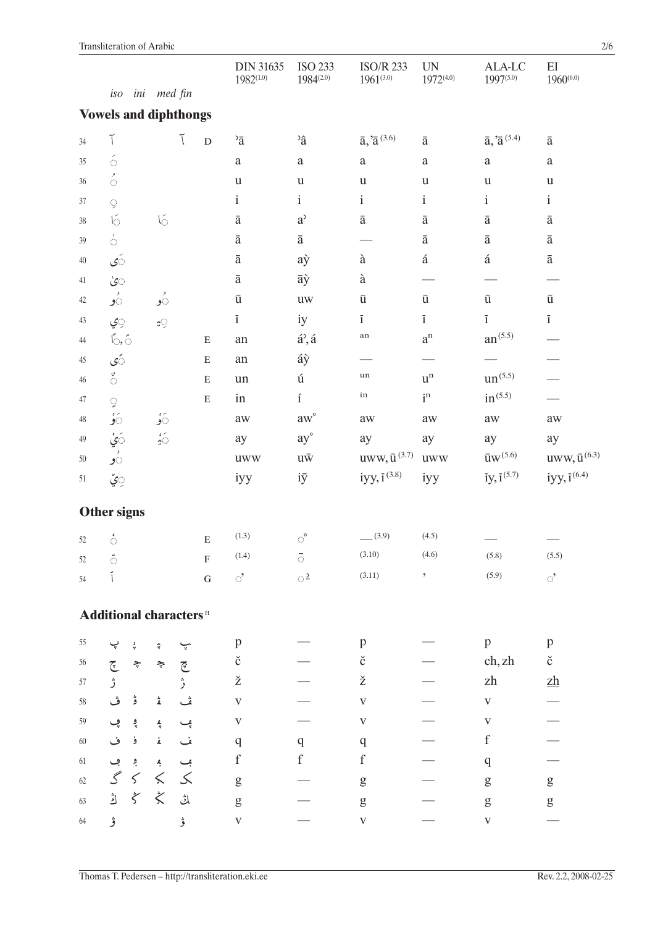|        |                                           |              |                              |                          |              | <b>DIN 31635</b><br>$1982^{(1.0)}$ | <b>ISO 233</b><br>$1984^{(2.0)}$       | <b>ISO/R 233</b><br>$1961^{(3.0)}$                                                                                                                                                                                                                                                                                                                                                                                             | <b>UN</b><br>$1972^{(4.0)}$ | ALA-LC<br>1997(5.0)         | EI<br>$1960^{(6.0)}$            |
|--------|-------------------------------------------|--------------|------------------------------|--------------------------|--------------|------------------------------------|----------------------------------------|--------------------------------------------------------------------------------------------------------------------------------------------------------------------------------------------------------------------------------------------------------------------------------------------------------------------------------------------------------------------------------------------------------------------------------|-----------------------------|-----------------------------|---------------------------------|
|        | iso                                       |              | ini med fin                  |                          |              |                                    |                                        |                                                                                                                                                                                                                                                                                                                                                                                                                                |                             |                             |                                 |
|        | <b>Vowels and diphthongs</b>              |              |                              |                          |              |                                    |                                        |                                                                                                                                                                                                                                                                                                                                                                                                                                |                             |                             |                                 |
| 34     | $\tilde{\mathcal{N}}$                     |              |                              | Ĩ                        | $\mathbf{D}$ | $\overline{a}$                     | $\hat{a}$                              | $\bar{a},\bar{a}^{\,(3.6)}$                                                                                                                                                                                                                                                                                                                                                                                                    | $\bar{\mathrm{a}}$          | $\bar{a}, \bar{a}^{(5.4)}$  | $\bar{\text{a}}$                |
| $35\,$ | $\acute{\circ}$                           |              |                              |                          |              | $\rm{a}$                           | $\rm{a}$                               | $\rm{a}$                                                                                                                                                                                                                                                                                                                                                                                                                       | $\rm{a}$                    | $\rm{a}$                    | $\rm{a}$                        |
| 36     | $\stackrel{\rightarrow}{\circ}$           |              |                              |                          |              | $\mathbf u$                        | $\mathbf u$                            | $\mathbf u$                                                                                                                                                                                                                                                                                                                                                                                                                    | $\mathbf u$                 | $\mathbf u$                 | $\ensuremath{\mathbf u}$        |
| 37     | 9                                         |              |                              |                          |              | $\rm i$                            | $\rm i$                                | $\rm i$                                                                                                                                                                                                                                                                                                                                                                                                                        | $\mathbf{i}$                | $\mathbf{i}$                | $\mathbf{i}$                    |
| 38     | $\sqrt{2}$                                |              | $\sqrt{2}$                   |                          |              | $\bar{\text{a}}$                   | $a^{\prime}$                           | $\bar{\text{a}}$                                                                                                                                                                                                                                                                                                                                                                                                               | $\bar{\text{a}}$            | $\bar{\text{a}}$            | $\bar{\text{a}}$                |
| 39     | $\frac{1}{\mathcal{O}}$                   |              |                              |                          |              | $\bar{\text{a}}$                   | $\bar{\text{a}}$                       |                                                                                                                                                                                                                                                                                                                                                                                                                                | $\bar{\text{a}}$            | $\bar{\text{a}}$            | $\bar{\text{a}}$                |
| $40\,$ | َى                                        |              |                              |                          |              | $\bar{\text{a}}$                   | aỳ                                     | $\grave{\mathrm{a}}$                                                                                                                                                                                                                                                                                                                                                                                                           | $\acute{\text{a}}$          | $\acute{\text{a}}$          | $\bar{\text{a}}$                |
| 41     | ۞                                         |              |                              |                          |              | $\bar{\text{a}}$                   | āỳ                                     | $\grave{\mathrm{a}}$                                                                                                                                                                                                                                                                                                                                                                                                           |                             |                             |                                 |
| 42     | ءِ<br>تو                                  |              | ءِ<br>نو                     |                          |              | $\bar{\text{u}}$                   | UW                                     | $\bar{\text{u}}$                                                                                                                                                                                                                                                                                                                                                                                                               | $\bar{\mathrm{u}}$          | $\bar{\mathrm{u}}$          | $\bar{\mathrm{u}}$              |
| 43     | ؚ۞                                        |              | ₹9                           |                          |              | $\overline{1}$                     | iy                                     | $\overline{1}$                                                                                                                                                                                                                                                                                                                                                                                                                 | $\overline{1}$              | $\overline{1}$              | $\overline{1}$                  |
| 44     | $\uparrow$ , $\uparrow$                   |              |                              |                          | ${\bf E}$    | ${\rm an}$                         | $\acute{\rm a}^{\flat}, \acute{\rm a}$ | $_{\rm an}$                                                                                                                                                                                                                                                                                                                                                                                                                    | $\mathbf{a}^\mathrm{n}$     | $\rm{an}^{(5.5)}$           |                                 |
| 45     | ۡی                                        |              |                              |                          | ${\bf E}$    | an                                 | áỳ                                     |                                                                                                                                                                                                                                                                                                                                                                                                                                |                             |                             |                                 |
| 46     | $\stackrel{\circ}{\circ}$                 |              |                              |                          | ${\bf E}$    | un                                 | ú                                      | $_{\rm un}$                                                                                                                                                                                                                                                                                                                                                                                                                    | $\mathbf{u}^\mathrm{n}$     | $un^{(5.5)}$                |                                 |
| 47     | Q                                         |              |                              |                          | ${\bf E}$    | in                                 | $\mathbf{i}$                           | in                                                                                                                                                                                                                                                                                                                                                                                                                             | $\mathrm{i}^{\mathrm{n}}$   | $in^{(5.5)}$                |                                 |
| 48     | ەۋ                                        |              | ەق                           |                          |              | aw                                 | $aw^{\circ}$                           | aw                                                                                                                                                                                                                                                                                                                                                                                                                             | aw                          | aw                          | $\rm aw$                        |
| 49     | َږ                                        |              | $\frac{2}{\sqrt{2}}$         |                          |              | ay                                 | ay°                                    | ay                                                                                                                                                                                                                                                                                                                                                                                                                             | ay                          | ay                          | ay                              |
| 50     | ر<br>90                                   |              |                              |                          |              | <b>uww</b>                         | $u\bar w$                              | $uvw, \bar{u}^{(3.7)}$                                                                                                                                                                                                                                                                                                                                                                                                         | <b>uww</b>                  | ${\rm\bar{u}w^{(5.6)}}$     | uww, $\bar{\mathbf{u}}^{(6.3)}$ |
| 51     | ؚ۞ِّ                                      |              |                              |                          |              | iyy                                | iÿ                                     | iyy, $\bar{1}^{(3.8)}$                                                                                                                                                                                                                                                                                                                                                                                                         | iyy                         | $\bar{1}y, \bar{1}^{(5.7)}$ | iyy, $\bar{1}^{(6.4)}$          |
|        | <b>Other signs</b>                        |              |                              |                          |              |                                    |                                        |                                                                                                                                                                                                                                                                                                                                                                                                                                |                             |                             |                                 |
| 52     | ់                                         |              |                              |                          | ${\bf E}$    | (1.3)                              | ି                                      | (3.9)                                                                                                                                                                                                                                                                                                                                                                                                                          | (4.5)                       |                             |                                 |
| 52     | المعا<br>Ò                                |              |                              |                          | F            | (1.4)                              | $\bar{\circ}$                          | (3.10)                                                                                                                                                                                                                                                                                                                                                                                                                         | (4.6)                       | (5.8)                       | (5.5)                           |
| 54     |                                           |              |                              |                          | ${\bf G}$    | ੇ                                  | $\circ$ <sup>2</sup>                   | (3.11)                                                                                                                                                                                                                                                                                                                                                                                                                         | $\,{}$                      | (5.9)                       | ੇ                               |
|        | <b>Additional characters</b> <sup>H</sup> |              |                              |                          |              |                                    |                                        |                                                                                                                                                                                                                                                                                                                                                                                                                                |                             |                             |                                 |
| 55     | پ                                         | ÷            | ÷                            | ݒ                        |              | $\, {\bf p}$                       |                                        | p                                                                                                                                                                                                                                                                                                                                                                                                                              |                             | p                           | p                               |
| 56     |                                           | $\Leftarrow$ | $\tilde{\mathcal{L}}$        | $\widetilde{\mathbb{C}}$ |              | $\check{\rm c}$                    |                                        | $\check{\rm c}$                                                                                                                                                                                                                                                                                                                                                                                                                |                             | ch, zh                      | $\check{\rm c}$                 |
| $57\,$ | چ<br>ژ                                    |              |                              | ڑ                        |              | ž                                  |                                        | ž                                                                                                                                                                                                                                                                                                                                                                                                                              |                             | zh                          | $\underline{z}\underline{h}$    |
| $58\,$ | ڤ                                         | ۋ            | ۼ                            | ش                        |              | $\mathbf V$                        |                                        | $\mathbf V$                                                                                                                                                                                                                                                                                                                                                                                                                    |                             | $\mathbf V$                 |                                 |
| 59     | ڥ                                         | ۉ            | ڲ                            | ڥ                        |              | $\mathbf V$                        |                                        | $\mathbf V$                                                                                                                                                                                                                                                                                                                                                                                                                    |                             | $\ensuremath{\mathbf{V}}$   |                                 |
| $60\,$ | ف                                         | ۏ            | ۼ                            | ف                        |              | q                                  | $\mathbf{q}$                           | q                                                                                                                                                                                                                                                                                                                                                                                                                              |                             | $\boldsymbol{f}$            |                                 |
| $61\,$ | ڢ                                         | ؋            | $\frac{\mathfrak{g}}{\cdot}$ | ڢ                        |              | $\mathbf f$                        | $\mathbf f$                            | $\boldsymbol{f}$                                                                                                                                                                                                                                                                                                                                                                                                               |                             | q                           |                                 |
| 62     | $\mathcal{S}$                             | $\leq$       | $\leq$                       | $\leq$                   |              | ${\sf g}$                          |                                        | $\mathbf{g}% _{T}=\mathbf{g}_{T}=\mathbf{g}_{T}=\mathbf{g}_{T}=\mathbf{g}_{T}=\mathbf{g}_{T}=\mathbf{g}_{T}=\mathbf{g}_{T}=\mathbf{g}_{T}=\mathbf{g}_{T}=\mathbf{g}_{T}=\mathbf{g}_{T}=\mathbf{g}_{T}=\mathbf{g}_{T}=\mathbf{g}_{T}=\mathbf{g}_{T}=\mathbf{g}_{T}=\mathbf{g}_{T}=\mathbf{g}_{T}=\mathbf{g}_{T}=\mathbf{g}_{T}=\mathbf{g}_{T}=\mathbf{g}_{T}=\mathbf{g}_{T}=\mathbf{g}_{T}=\mathbf{g}_{T}=\mathbf{g}_{T}=\math$ |                             | ${\sf g}$                   | ${\rm g}$                       |
| 63     | ڭ                                         | $\zeta$      | $\dot{\zeta}$                | ڵڽ                       |              | ${\sf g}$                          |                                        | $\mathbf{g}% _{T}=\mathbf{g}_{T}=\mathbf{g}_{T}=\mathbf{g}_{T}=\mathbf{g}_{T}=\mathbf{g}_{T}=\mathbf{g}_{T}=\mathbf{g}_{T}=\mathbf{g}_{T}=\mathbf{g}_{T}=\mathbf{g}_{T}=\mathbf{g}_{T}=\mathbf{g}_{T}=\mathbf{g}_{T}=\mathbf{g}_{T}=\mathbf{g}_{T}=\mathbf{g}_{T}=\mathbf{g}_{T}=\mathbf{g}_{T}=\mathbf{g}_{T}=\mathbf{g}_{T}=\mathbf{g}_{T}=\mathbf{g}_{T}=\mathbf{g}_{T}=\mathbf{g}_{T}=\mathbf{g}_{T}=\mathbf{g}_{T}=\math$ |                             | g                           | ${\sf g}$                       |
| 64     | ۋ                                         |              |                              | ڨ                        |              | $\mathbf V$                        |                                        | $\mathbf V$                                                                                                                                                                                                                                                                                                                                                                                                                    |                             | $\mathbf V$                 |                                 |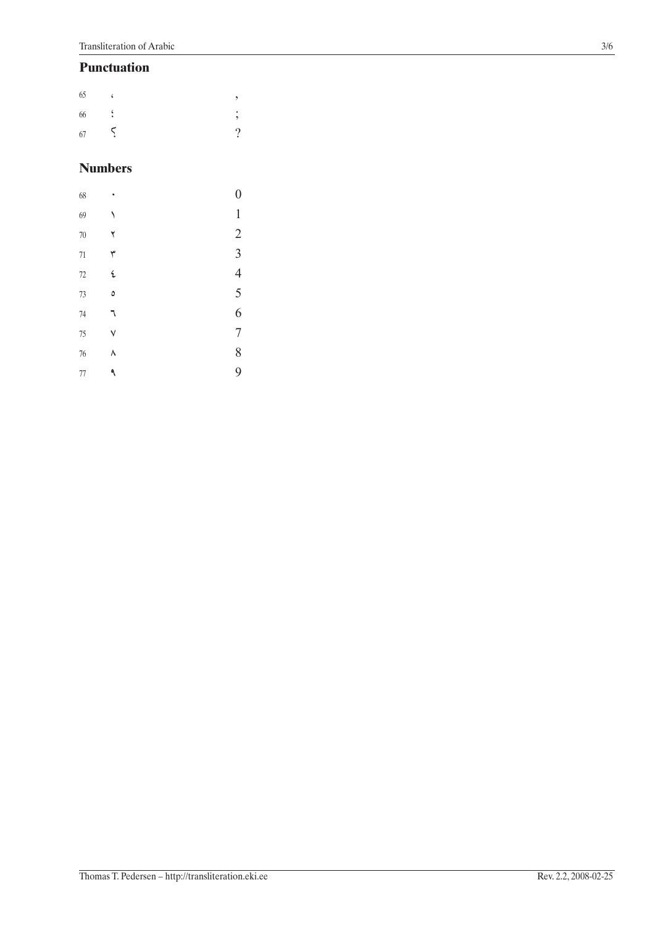### **Punctuation**

| 65                         | ۷        |                     |
|----------------------------|----------|---------------------|
| $\ddot{\phantom{1}}$<br>66 |          | ۰<br>$\overline{2}$ |
| 67                         | $\Delta$ | റ                   |

## **Numbers**

| 68     |   | $\boldsymbol{0}$ |
|--------|---|------------------|
| 69     |   | $\mathbbm{1}$    |
| 70     | ٢ | $\sqrt{2}$       |
| 71     | ٣ | 3                |
| $72\,$ | ٤ | $\overline{4}$   |
| 73     | ٥ | 5                |
| 74     |   | 6                |
| 75     | ٧ | $\overline{7}$   |
| 76     | ٨ | 8                |
| $77\,$ | ٩ | 9                |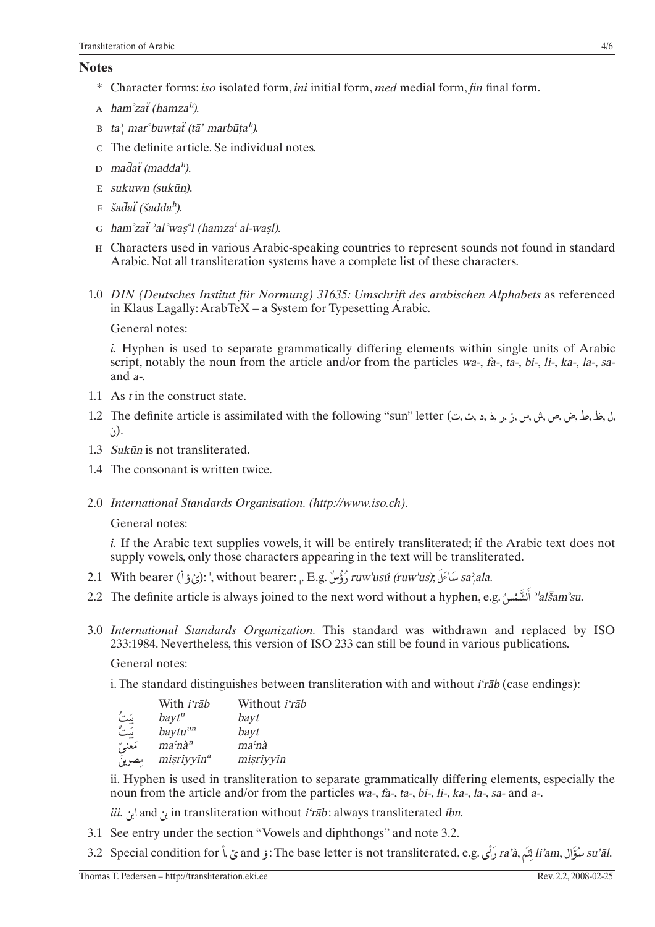#### **Notes**

- \* Character forms: iso isolated form, ini initial form, med medial form, fin final form.
- A ham<sup>o</sup>zat<sup>*(hamza<sup>h</sup>)*.</sup>
- B ta', mar $\partial$ buwtat (tā' marbūta<sup>h</sup>).
- c The definite article. Se individual notes.
- $D$  madat (madda<sup>h</sup>).
- $E$  sukuwn (sukūn).
- $F \quad \text{ša} \bar{d} \text{a} \ddot{\text{t}} \text{ (s} \text{a} \text{d} \text{d} \text{a}^{\text{h}}).$
- G ham<sup>o</sup>zať <sup>2</sup>aľ was<sup>o</sup>l (hamza<sup>t</sup> al-wasl).
- H Characters used in various Arabic-speaking countries to represent sounds not found in standard Arabic. Not all transliteration systems have a complete list of these characters.
- 1.0 DIN (Deutsches Institut für Normung) 31635: Umschrift des arabischen Alphabets as referenced in Klaus Lagally: ArabTeX – a System for Typesetting Arabic.

General notes:

*i.* Hyphen is used to separate grammatically differing elements within single units of Arabic script, notably the noun from the article and/or from the particles wa-, fa-, ta-, bi-, li-, ka-, la-, saand  $a$ -.

- 1.1 As t in the construct state.
- .(ن
- 1.3 Sukūn is not transliterated.
- 1.4 The consonant is written twice.
- 2.0 International Standards Organisation. (http://www.iso.ch).

General notes:

*i.* If the Arabic text supplies vowels, it will be entirely transliterated; if the Arabic text does not supply vowels, only those characters appearing in the text will be transliterated.

- 2.1 With bearer (أَيْنَ فَالَ): ', without bearer: .. E.g. وَوُسْ, E.g. النَّ وَالَ) ruw'usú (ruw'us); Sa,ala.
- 2.2 The definite article is always joined to the next word without a hyphen, e.g. 'alsam'su.
- 3.0 International Standards Organization. This standard was withdrawn and replaced by ISO 233:1984. Nevertheless, this version of ISO 233 can still be found in various publications.

General notes:

i. The standard distinguishes between transliteration with and without *i'rab* (case endings):

|           | With <i>i'rab</i>      | Without <i>i'rab</i> |
|-----------|------------------------|----------------------|
| بَیٹُ     | bayt <sup>u</sup>      | bayt                 |
| سية<br>ست | baytu <sup>un</sup>    | bayt                 |
| مَعنىً    | $ma'n\grave{a}^n$      | ma <sup>c</sup> nà   |
| مصرين     | misriyyīn <sup>a</sup> | misriyyīn            |

ii. Hyphen is used in transliteration to separate grammatically differing elements, especially the noun from the article and/or from the particles wa-, fa-, ta-, bi-, li-, ka-, la-, sa- and a-.

*iii.* and  $\mathcal{L}$  in transliteration without *i'rab*: always transliterated *ibn*.

- 3.1 See entry under the section "Vowels and diphthongs" and note 3.2.
- 31، تَصْوَّال ,ra'à لَنَّم ,ra'à رَأى .ara' أَرَى .and j :The base letter is not transliterated, e.g في أ su'āl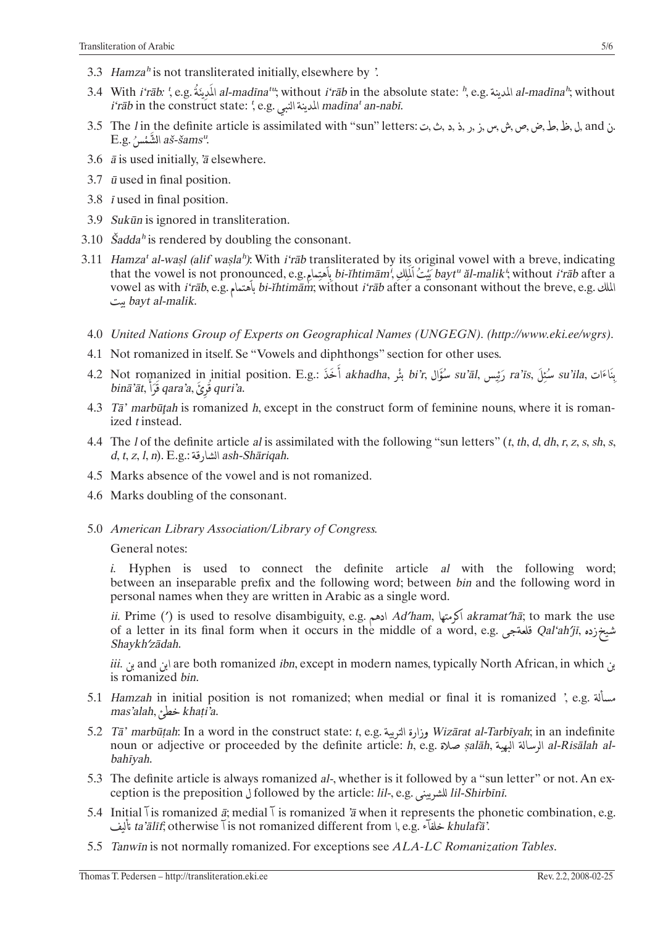- 3.3 Hamza<sup>h</sup> is not transliterated initially, elsewhere by '.
- 3.4 With *i'rāb: ', e.g.* المدينة al-madīna<sup>tu</sup>; without *i'rāb* in the absolute state: h, e.g. المدينة al-madīnah; without المدينة al-madīnah; without  $i$ ʻrāb in the construct state: ', e.g. المدينة النبي madīna' an-nabī.
- $E.g.$  الشَّمْسِ $a$ ة-šams".
- 3.6  $\bar{a}$  is used initially,  $\bar{a}$  elsewhere.
- 3.7  $\bar{u}$  used in final position.
- 3.8 *i* used in final position.
- 3.9 Sukūn is ignored in transliteration.
- 3.10  $\check{S}a dda^h$  is rendered by doubling the consonant.
- 3.11 Hamza' al-wasl (alif wasla<sup>h</sup>): With *i'rab* transliterated by its original vowel with a breve, indicating that the vowel is not pronounced, e.g. بِأَهْتِمامِ bi-ĭhtimām', يُنْتُ أَلْمِلْكِ أَسْتَ أَبْلِلْكِ بِمَاءَ bi-ĭhtimām', يَنْتُ أَلْمَلْكِ بِمَاءَ bayt" ăl-malik'; without i'rāb after a vowel as with *i'rāb*, e.g. الملك, bi-*ĭhtimām*; without *i'rāb* after a consonant without the breve, e.g. .bayt al-malik يىت
- 4.0 United Nations Group of Experts on Geographical Names (UNGEGN). (http://www.eki.ee/wgrs).
- 4.1 Not romanized in itself. Se "Vowels and diphthongs" section for other uses.
- 4.2 Not romanized in initial position. E.g.: مُثْلَ akhadha, بُثْلَ su'āl, رَئِيس ,a'īs بَشْتِلَ ,a'is مُثْلَ binā'āt, قُوْعُ ,qara'a قَوْاً ,qara'a
- 4.3 Tā' marbūțah is romanized h, except in the construct form of feminine nouns, where it is romanized *t* instead.
- 4.4 The *l* of the definite article *al* is assimilated with the following "sun letters"  $(t, th, d, dh, r, z, s, sh, s,$  $d, t, z, l, n$ . E.g.: الشارقة ash-Shāriqah.
- 4.5 Marks absence of the vowel and is not romanized.
- 4.6 Marks doubling of the consonant.
- 5.0 American Library Association/Library of Congress.

#### General notes:

*i.* Hyphen is used to connect the definite article al with the following word; between an inseparable prefix and the following word; between bin and the following word in personal names when they are written in Arabic as a single word.

ii. Prime (') is used to resolve disambiguity, e.g. ادهم Ad'ham, ادهم akramat'hā; to mark the use of a letter in its final form when it occurs in the middle of a word, e.g. تلميخزده Qal'ah'jī, شيخزده Shaykh'zādah.

*iii.* بن and ابن are both romanized *ibn*, except in modern names, typically North African, in which is romanized bin.

- مسألة , e.g. Hamzah in initial position is not romanized; when medial or final it is romanized , e.g. mas'alah, خطئ khaṭi'a.
- 5.2 Tā' marbūțah: In a word in the construct state: t, e.g. وزارة التربية Wizārat al-Tarbīyah; in an indefinite noun or adjective or proceeded by the definite article: h, e.g. صلاة البهية ṣalāh, الرسالة البهية al-Risālah al bahīyah.
- 5.3 The definite article is always romanized al-, whether is it followed by a "sun letter" or not. An exception is the preposition J followed by the article: lil-, e.g. الشريبي lil-Shirbīnī.
- 5.4 Initial l is romanized  $\bar{a}$ ; medial l is romanized  $\bar{a}$  when it represents the phonetic combination, e.g. khulafā'. خلفآء ta'ālīf, otherwise Ī is not romanized different from ۱, e.g. فلماته ta'ālīf, otherwise
- 5.5 Tanwin is not normally romanized. For exceptions see ALA-LC Romanization Tables.